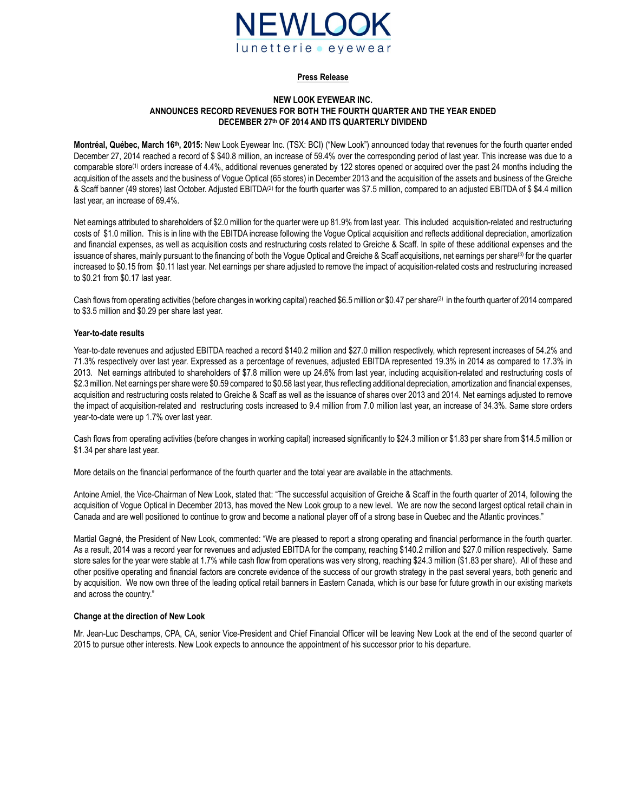

#### **Press Release**

#### **NEW LOOK EYEWEAR INC. ANNOUNCES RECORD REVENUES FOR BOTH THE FOURTH QUARTER AND THE YEAR ENDED DECEMBER 27th OF 2014 AND ITS QUARTERLY DIVIDEND**

**Montréal, Québec, March 16th , 2015:** New Look Eyewear Inc. (TSX: BCI) ("New Look") announced today that revenues for the fourth quarter ended December 27, 2014 reached a record of \$ \$40.8 million, an increase of 59.4% over the corresponding period of last year. This increase was due to a comparable store<sup>(1)</sup> orders increase of 4.4%, additional revenues generated by 122 stores opened or acquired over the past 24 months including the acquisition of the assets and the business of Vogue Optical (65 stores) in December 2013 and the acquisition of the assets and business of the Greiche & Scaff banner (49 stores) last October. Adjusted EBITDA(2) for the fourth quarter was \$7.5 million, compared to an adjusted EBITDA of \$ \$4.4 million last year, an increase of 69.4%.

Net earnings attributed to shareholders of \$2.0 million for the quarter were up 81.9% from last year. This included acquisition-related and restructuring costs of \$1.0 million. This is in line with the EBITDA increase following the Vogue Optical acquisition and reflects additional depreciation, amortization and financial expenses, as well as acquisition costs and restructuring costs related to Greiche & Scaff. In spite of these additional expenses and the issuance of shares, mainly pursuant to the financing of both the Vogue Optical and Greiche & Scaff acquisitions, net earnings per share<sup>(3)</sup> for the quarter increased to \$0.15 from \$0.11 last year. Net earnings per share adjusted to remove the impact of acquisition-related costs and restructuring increased to \$0.21 from \$0.17 last year.

Cash flows from operating activities (before changes in working capital) reached \$6.5 million or \$0.47 per share(3) in the fourth quarter of 2014 compared to \$3.5 million and \$0.29 per share last year.

### **Year-to-date results**

Year-to-date revenues and adjusted EBITDA reached a record \$140.2 million and \$27.0 million respectively, which represent increases of 54.2% and 71.3% respectively over last year. Expressed as a percentage of revenues, adjusted EBITDA represented 19.3% in 2014 as compared to 17.3% in 2013. Net earnings attributed to shareholders of \$7.8 million were up 24.6% from last year, including acquisition-related and restructuring costs of \$2.3 million. Net earnings per share were \$0.59 compared to \$0.58 last year, thus reflecting additional depreciation, amortization and financial expenses, acquisition and restructuring costs related to Greiche & Scaff as well as the issuance of shares over 2013 and 2014. Net earnings adjusted to remove the impact of acquisition-related and restructuring costs increased to 9.4 million from 7.0 million last year, an increase of 34.3%. Same store orders year-to-date were up 1.7% over last year.

Cash flows from operating activities (before changes in working capital) increased significantly to \$24.3 million or \$1.83 per share from \$14.5 million or \$1.34 per share last year.

More details on the financial performance of the fourth quarter and the total year are available in the attachments.

Antoine Amiel, the Vice-Chairman of New Look, stated that: "The successful acquisition of Greiche & Scaff in the fourth quarter of 2014, following the acquisition of Vogue Optical in December 2013, has moved the New Look group to a new level. We are now the second largest optical retail chain in Canada and are well positioned to continue to grow and become a national player off of a strong base in Quebec and the Atlantic provinces."

Martial Gagné, the President of New Look, commented: "We are pleased to report a strong operating and financial performance in the fourth quarter. As a result, 2014 was a record year for revenues and adjusted EBITDA for the company, reaching \$140.2 million and \$27.0 million respectively. Same store sales for the year were stable at 1.7% while cash flow from operations was very strong, reaching \$24.3 million (\$1.83 per share). All of these and other positive operating and financial factors are concrete evidence of the success of our growth strategy in the past several years, both generic and by acquisition. We now own three of the leading optical retail banners in Eastern Canada, which is our base for future growth in our existing markets and across the country."

#### **Change at the direction of New Look**

Mr. Jean-Luc Deschamps, CPA, CA, senior Vice-President and Chief Financial Officer will be leaving New Look at the end of the second quarter of 2015 to pursue other interests. New Look expects to announce the appointment of his successor prior to his departure.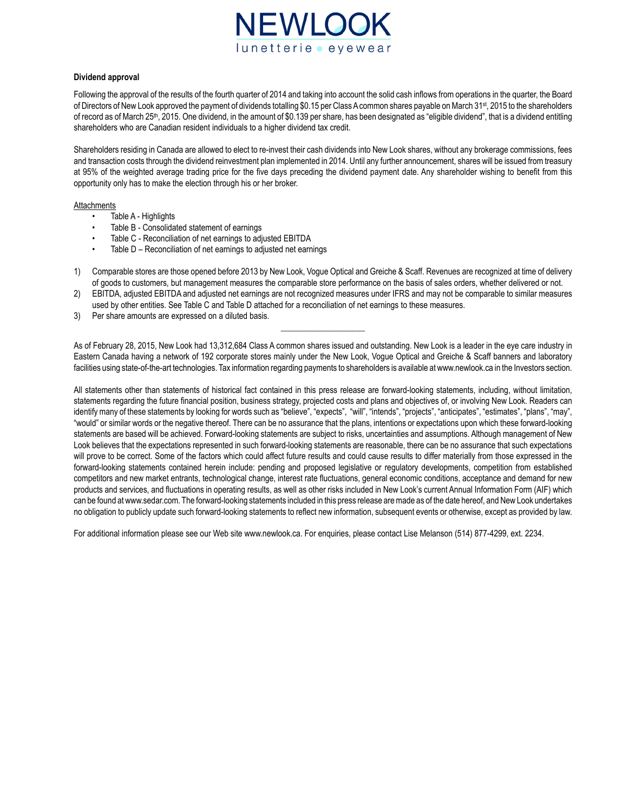

### **Dividend approval**

Following the approval of the results of the fourth quarter of 2014 and taking into account the solid cash inflows from operations in the quarter, the Board of Directors of New Look approved the payment of dividends totalling \$0.15 per Class Acommon shares payable on March 31st , 2015 to the shareholders of record as of March 25<sup>th</sup>, 2015. One dividend, in the amount of \$0.139 per share, has been designated as "eligible dividend", that is a dividend entitling shareholders who are Canadian resident individuals to a higher dividend tax credit.

Shareholders residing in Canada are allowed to elect to re-invest their cash dividends into New Look shares, without any brokerage commissions, fees and transaction costs through the dividend reinvestment plan implemented in 2014. Until any further announcement, shares will be issued from treasury at 95% of the weighted average trading price for the five days preceding the dividend payment date. Any shareholder wishing to benefit from this opportunity only has to make the election through his or her broker.

#### **Attachments**

- Table A Highlights
- Table B Consolidated statement of earnings
- Table C Reconciliation of net earnings to adjusted EBITDA
- Table D Reconciliation of net earnings to adjusted net earnings
- 1) Comparable stores are those opened before 2013 by New Look, Vogue Optical and Greiche & Scaff. Revenues are recognized at time of delivery of goods to customers, but management measures the comparable store performance on the basis of sales orders, whether delivered or not.
- 2) EBITDA, adjusted EBITDA and adjusted net earnings are not recognized measures under IFRS and may not be comparable to similar measures used by other entities. See Table C and Table D attached for a reconciliation of net earnings to these measures.
- 3) Per share amounts are expressed on a diluted basis.

As of February 28, 2015, New Look had 13,312,684 Class A common shares issued and outstanding. New Look is a leader in the eye care industry in Eastern Canada having a network of 192 corporate stores mainly under the New Look, Vogue Optical and Greiche & Scaff banners and laboratory facilities using state-of-the-art technologies. Tax information regarding payments to shareholders is available at www.newlook.ca in the Investors section.

\_\_\_\_\_\_\_\_\_\_\_\_\_\_\_\_\_\_\_\_

All statements other than statements of historical fact contained in this press release are forward-looking statements, including, without limitation, statements regarding the future financial position, business strategy, projected costs and plans and objectives of, or involving New Look. Readers can identify many of these statements by looking for words such as "believe", "expects", "will", "intends", "projects", "anticipates", "estimates", "plans", "may", "would" or similar words or the negative thereof. There can be no assurance that the plans, intentions or expectations upon which these forward-looking statements are based will be achieved. Forward-looking statements are subject to risks, uncertainties and assumptions. Although management of New Look believes that the expectations represented in such forward-looking statements are reasonable, there can be no assurance that such expectations will prove to be correct. Some of the factors which could affect future results and could cause results to differ materially from those expressed in the forward-looking statements contained herein include: pending and proposed legislative or regulatory developments, competition from established competitors and new market entrants, technological change, interest rate fluctuations, general economic conditions, acceptance and demand for new products and services, and fluctuations in operating results, as well as other risks included in New Look's current Annual Information Form (AIF) which can be found at www.sedar.com. The forward-looking statements included in this press release are made as of the date hereof, and New Look undertakes no obligation to publicly update such forward-looking statements to reflect new information, subsequent events or otherwise, except as provided by law.

For additional information please see our Web site www.newlook.ca. For enquiries, please contact Lise Melanson (514) 877-4299, ext. 2234.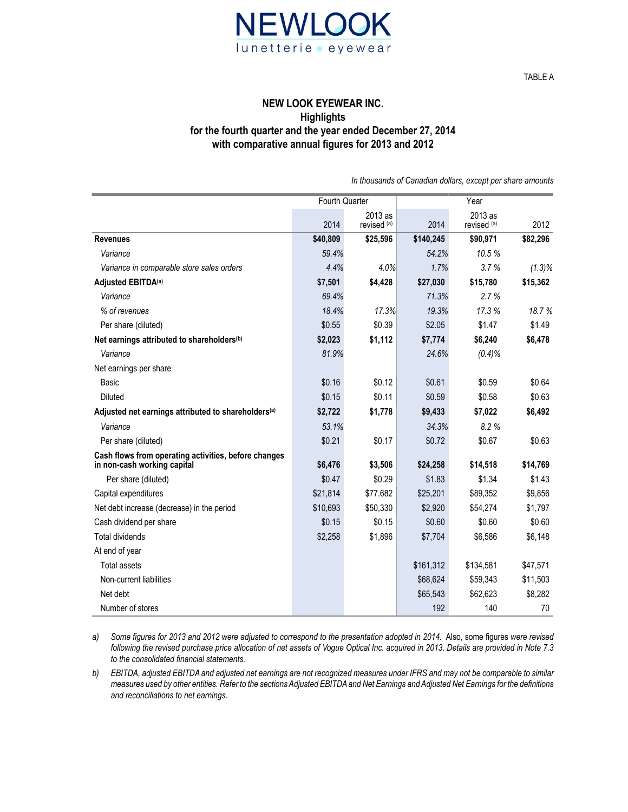

TABLE A

### **NEW LOOK EYEWEAR INC. Highlights for the fourth quarter and the year ended December 27, 2014 with comparative annual figures for 2013 and 2012**

|                                                                                     | Fourth Quarter |                        | Year      |                        |           |  |
|-------------------------------------------------------------------------------------|----------------|------------------------|-----------|------------------------|-----------|--|
|                                                                                     | 2014           | 2013 as<br>revised (a) | 2014      | 2013 as<br>revised (a) | 2012      |  |
| <b>Revenues</b>                                                                     | \$40,809       | \$25,596               | \$140,245 | \$90,971               | \$82,296  |  |
| Variance                                                                            | 59.4%          |                        | 54.2%     | 10.5%                  |           |  |
| Variance in comparable store sales orders                                           | 4.4%           | 4.0%                   | 1.7%      | 3.7%                   | $(1.3)\%$ |  |
| Adjusted EBITDA <sup>(a)</sup>                                                      | \$7,501        | \$4,428                | \$27,030  | \$15,780               | \$15,362  |  |
| Variance                                                                            | 69.4%          |                        | 71.3%     | 2.7%                   |           |  |
| % of revenues                                                                       | 18.4%          | 17.3%                  | 19.3%     | 17.3 %                 | 18.7%     |  |
| Per share (diluted)                                                                 | \$0.55         | \$0.39                 | \$2.05    | \$1.47                 | \$1.49    |  |
| Net earnings attributed to shareholders <sup>(b)</sup>                              | \$2,023        | \$1,112                | \$7,774   | \$6,240                | \$6,478   |  |
| Variance                                                                            | 81.9%          |                        | 24.6%     | $(0.4)\%$              |           |  |
| Net earnings per share                                                              |                |                        |           |                        |           |  |
| Basic                                                                               | \$0.16         | \$0.12                 | \$0.61    | \$0.59                 | \$0.64    |  |
| <b>Diluted</b>                                                                      | \$0.15         | \$0.11                 | \$0.59    | \$0.58                 | \$0.63    |  |
| Adjusted net earnings attributed to shareholders <sup>(a)</sup>                     | \$2,722        | \$1,778                | \$9,433   | \$7,022                | \$6,492   |  |
| Variance                                                                            | 53.1%          |                        | 34.3%     | 8.2%                   |           |  |
| Per share (diluted)                                                                 | \$0.21         | \$0.17                 | \$0.72    | \$0.67                 | \$0.63    |  |
| Cash flows from operating activities, before changes<br>in non-cash working capital | \$6,476        | \$3,506                | \$24,258  | \$14,518               | \$14,769  |  |
| Per share (diluted)                                                                 | \$0.47         | \$0.29                 | \$1.83    | \$1.34                 | \$1.43    |  |
| Capital expenditures                                                                | \$21,814       | \$77.682               | \$25,201  | \$89,352               | \$9,856   |  |
| Net debt increase (decrease) in the period                                          | \$10,693       | \$50,330               | \$2,920   | \$54,274               | \$1,797   |  |
| Cash dividend per share                                                             | \$0.15         | \$0.15                 | \$0.60    | \$0.60                 | \$0.60    |  |
| <b>Total dividends</b>                                                              | \$2,258        | \$1,896                | \$7,704   | \$6,586                | \$6,148   |  |
| At end of year                                                                      |                |                        |           |                        |           |  |
| <b>Total assets</b>                                                                 |                |                        | \$161,312 | \$134,581              | \$47,571  |  |
| Non-current liabilities                                                             |                |                        | \$68,624  | \$59,343               | \$11,503  |  |
| Net debt                                                                            |                |                        | \$65,543  | \$62,623               | \$8,282   |  |
| Number of stores                                                                    |                |                        | 192       | 140                    | 70        |  |

*In thousands of Canadian dollars, except per share amounts*

*a) Some figures for 2013 and 2012 were adjusted to correspond to the presentation adopted in 2014.* Also, some figures *were revised following the revised purchase price allocation of net assets of Vogue Optical Inc. acquired in 2013. Details are provided in Note 7.3 to the consolidated financial statements.*

*b) EBITDA, adjusted EBITDA and adjusted net earnings are not recognized measures under IFRS and may not be comparable to similar measures used by other entities. Refer to the sections Adjusted EBITDAand Net Earnings and Adjusted Net Earnings for the definitions and reconciliations to net earnings.*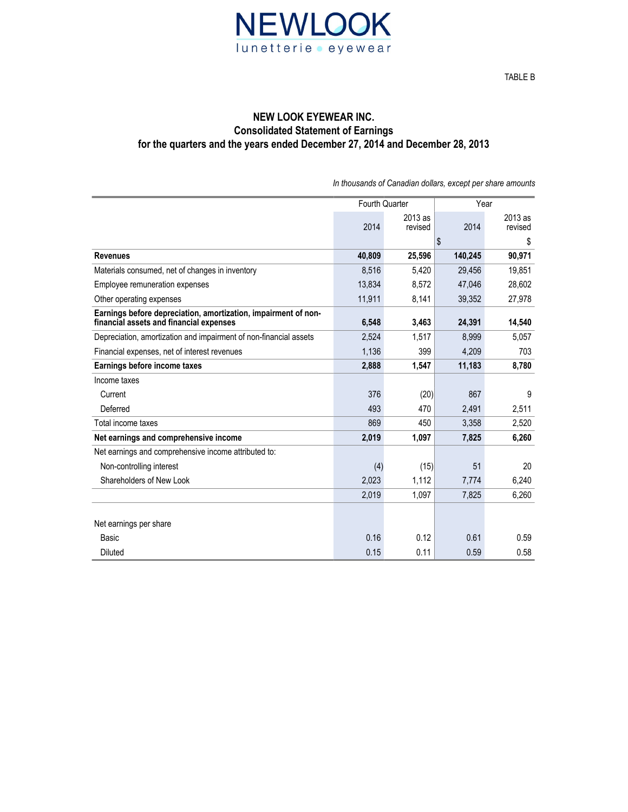

## **NEW LOOK EYEWEAR INC. Consolidated Statement of Earnings for the quarters and the years ended December 27, 2014 and December 28, 2013**

|                                                                                                           | Fourth Quarter |           | Year    |         |
|-----------------------------------------------------------------------------------------------------------|----------------|-----------|---------|---------|
|                                                                                                           |                | $2013$ as |         | 2013 as |
|                                                                                                           | 2014           | revised   | 2014    | revised |
|                                                                                                           |                |           | \$      | \$      |
| <b>Revenues</b>                                                                                           | 40,809         | 25,596    | 140,245 | 90,971  |
| Materials consumed, net of changes in inventory                                                           | 8,516          | 5,420     | 29,456  | 19,851  |
| <b>Employee remuneration expenses</b>                                                                     | 13,834         | 8,572     | 47,046  | 28,602  |
| Other operating expenses                                                                                  | 11,911         | 8,141     | 39,352  | 27,978  |
| Earnings before depreciation, amortization, impairment of non-<br>financial assets and financial expenses | 6,548          | 3,463     | 24,391  | 14,540  |
|                                                                                                           |                |           |         |         |
| Depreciation, amortization and impairment of non-financial assets                                         | 2,524          | 1,517     | 8,999   | 5,057   |
| Financial expenses, net of interest revenues                                                              | 1,136          | 399       | 4.209   | 703     |
| Earnings before income taxes                                                                              | 2,888          | 1,547     | 11,183  | 8,780   |
| Income taxes                                                                                              |                |           |         |         |
| Current                                                                                                   | 376            | (20)      | 867     | 9       |
| Deferred                                                                                                  | 493            | 470       | 2,491   | 2,511   |
| Total income taxes                                                                                        | 869            | 450       | 3,358   | 2,520   |
| Net earnings and comprehensive income                                                                     | 2,019          | 1,097     | 7,825   | 6,260   |
| Net earnings and comprehensive income attributed to:                                                      |                |           |         |         |
| Non-controlling interest                                                                                  | (4)            | (15)      | 51      | 20      |
| Shareholders of New Look                                                                                  | 2,023          | 1,112     | 7,774   | 6,240   |
|                                                                                                           | 2,019          | 1.097     | 7.825   | 6,260   |
|                                                                                                           |                |           |         |         |

Basic  $0.16$  0.12  $0.61$  0.61  $0.59$ Diluted 0.15 0.11 0.59 0.58

Net earnings per share

*In thousands of Canadian dollars, except per share amounts*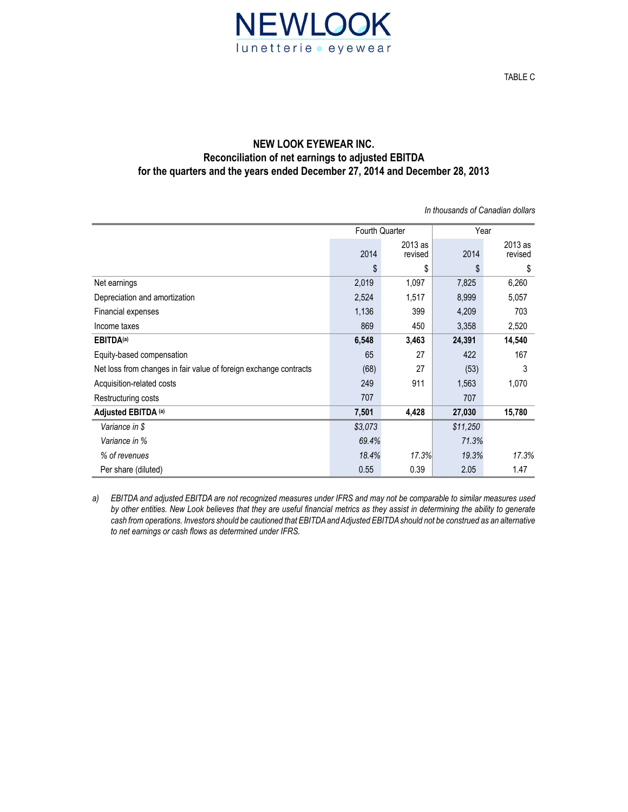

# **NEW LOOK EYEWEAR INC. Reconciliation of net earnings to adjusted EBITDA for the quarters and the years ended December 27, 2014 and December 28, 2013**

*In thousands of Canadian dollars*

|                                                                   | <b>Fourth Quarter</b> |                    | Year     |                    |
|-------------------------------------------------------------------|-----------------------|--------------------|----------|--------------------|
|                                                                   | 2014                  | 2013 as<br>revised | 2014     | 2013 as<br>revised |
|                                                                   | \$                    | \$                 | \$       | \$                 |
| Net earnings                                                      | 2,019                 | 1,097              | 7,825    | 6,260              |
| Depreciation and amortization                                     | 2,524                 | 1,517              | 8,999    | 5,057              |
| Financial expenses                                                | 1,136                 | 399                | 4,209    | 703                |
| Income taxes                                                      | 869                   | 450                | 3,358    | 2,520              |
| <b>EBITDA(a)</b>                                                  | 6,548                 | 3,463              | 24,391   | 14,540             |
| Equity-based compensation                                         | 65                    | 27                 | 422      | 167                |
| Net loss from changes in fair value of foreign exchange contracts | (68)                  | 27                 | (53)     | 3                  |
| Acquisition-related costs                                         | 249                   | 911                | 1,563    | 1,070              |
| Restructuring costs                                               | 707                   |                    | 707      |                    |
| Adjusted EBITDA (a)                                               | 7,501                 | 4,428              | 27,030   | 15,780             |
| Variance in \$                                                    | \$3,073               |                    | \$11,250 |                    |
| Variance in %                                                     | 69.4%                 |                    | 71.3%    |                    |
| % of revenues                                                     | 18.4%                 | 17.3%              | 19.3%    | 17.3%              |
| Per share (diluted)                                               | 0.55                  | 0.39               | 2.05     | 1.47               |

*a) EBITDA and adjusted EBITDA are not recognized measures under IFRS and may not be comparable to similar measures used by other entities. New Look believes that they are useful financial metrics as they assist in determining the ability to generate*  cash from operations. Investors should be cautioned that EBITDA and Adjusted EBITDA should not be construed as an alternative *to net earnings or cash flows as determined under IFRS.*